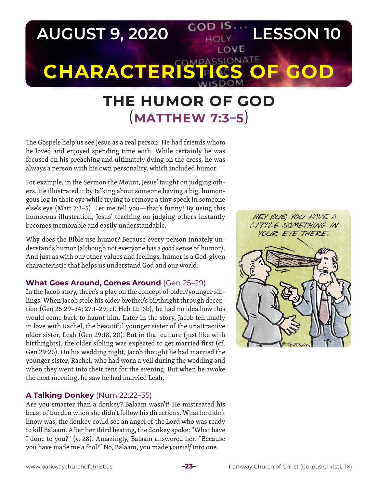

# **THE HUMOR OF GOD**  (**MATTHEW 7:3–5**)

The Gospels help us see Jesus as a real person. He had friends whom he loved and enjoyed spending time with. While certainly he was focused on his preaching and ultimately dying on the cross, he was always a person with his own personality, which included humor.

For example, in the Sermon the Mount, Jesus' taught on judging others. He illustrated it by talking about someone having a big, humongous log in their eye while trying to remove a tiny speck in someone else's eye (Matt 7:3–5). Let me tell you—that's funny! By using this humorous illustration, Jesus' teaching on judging others instantly becomes memorable and easily understandable.

Why does the Bible use humor? Because every person innately understands humor (although not everyone has a *good* sense of humor). And just as with our other values and feelings, humor is a God-given characteristic that helps us understand God and our world.

# **What Goes Around, Comes Around** (Gen 25–29)

In the Jacob story, there's a play on the concept of older/younger siblings. When Jacob stole his older brother's birthright through deception (Gen 25:29–34; 27:1–29; cf. Heb 12:16b), he had no idea how this would come back to haunt him. Later in the story, Jacob fell madly in love with Rachel, the beautiful younger sister of the unattractive older sister, Leah (Gen 29:18, 20). But in that culture (just like with birthrights), the older sibling was expected to get married first (cf. Gen 29:26). On his wedding night, Jacob thought he had married the younger sister, Rachel, who had worn a veil during the wedding and when they went into their tent for the evening. But when he awoke the next morning, he saw he had married Leah.

# **A Talking Donkey** (Num 22:22–35)

Are you smarter than a donkey? Balaam wasn't! He mistreated his beast of burden when she didn't follow his directions. What he didn't know was, the donkey could see an angel of the Lord who was ready to kill Balaam. After her third beating, the donkey spoke: "What have I done to you?" (v. 28). Amazingly, Balaam answered her. "Because you have made me a fool!" No, Balaam, you made *yourself* into one.